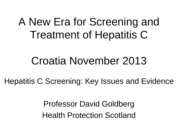### A New Era for Screening and Treatment of Hepatitis C

#### Croatia November 2013

Hepatitis C Screening: Key Issues and Evidence

Professor David Goldberg Health Protection Scotland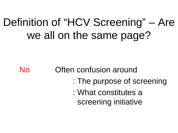## Definition of "HCV Screening" – Are we all on the same page?

No Often confusion around

- : The purpose of screening
- : What constitutes a screening initiative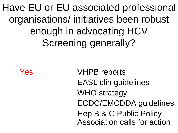Have EU or EU associated professional organisations/ initiatives been robust enough in advocating HCV Screening generally?

- Yes : VHPB reports
	- : EASL clin guidelines
	- : WHO strategy
	- : ECDC/EMCDDA guidelines
	- : Hep B & C Public Policy Association calls for action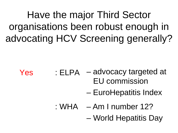Have the major Third Sector organisations been robust enough in advocating HCV Screening generally?

- Yes : ELPA advocacy targeted at
	- EU commission
	- EuroHepatitis Index
	- : WHA Am I number 12?
		- World Hepatitis Day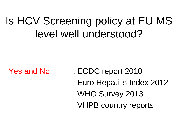# Is HCV Screening policy at EU MS level well understood?

- Yes and No : ECDC report 2010
	- : Euro Hepatitis Index 2012
	- : WHO Survey 2013
	- : VHPB country reports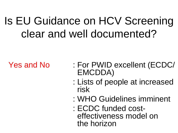## Is EU Guidance on HCV Screening clear and well documented?

- Yes and No : For PWID excellent (ECDC/ EMCDDA)
	- : Lists of people at increased risk
	- : WHO Guidelines imminent
	- : ECDC funded cost- effectiveness model on the horizon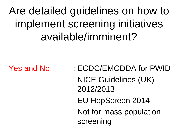Are detailed guidelines on how to implement screening initiatives available/imminent?

- Yes and No : ECDC/EMCDDA for PWID
	- : NICE Guidelines (UK) 2012/2013
	- : EU HepScreen 2014
	- : Not for mass population screening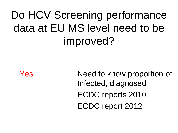# Do HCV Screening performance data at EU MS level need to be improved?

- Yes : Need to know proportion of Infected, diagnosed
	- : ECDC reports 2010
	- : ECDC report 2012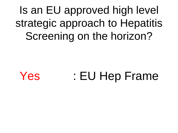Is an EU approved high level strategic approach to Hepatitis Screening on the horizon?

Yes : EU Hep Frame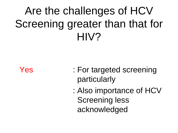# Are the challenges of HCV Screening greater than that for HIV?

- Yes : For targeted screening particularly
	- : Also importance of HCV Screening less acknowledged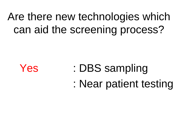## Are there new technologies which can aid the screening process?



- Yes : DBS sampling
	- : Near patient testing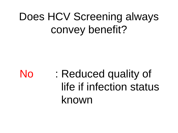# Does HCV Screening always convey benefit?

No : Reduced quality of life if infection status known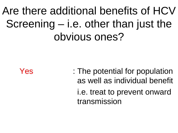# Are there additional benefits of HCV Screening – i.e. other than just the obvious ones?

Yes : The potential for population as well as individual benefit i.e. treat to prevent onward transmission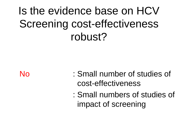# Is the evidence base on HCV Screening cost-effectiveness robust?

- No : Small number of studies of cost-effectiveness
	- : Small numbers of studies of impact of screening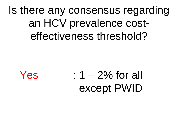### Is there any consensus regarding an HCV prevalence costeffectiveness threshold?

 $Yes$  :  $1 - 2\%$  for all except PWID